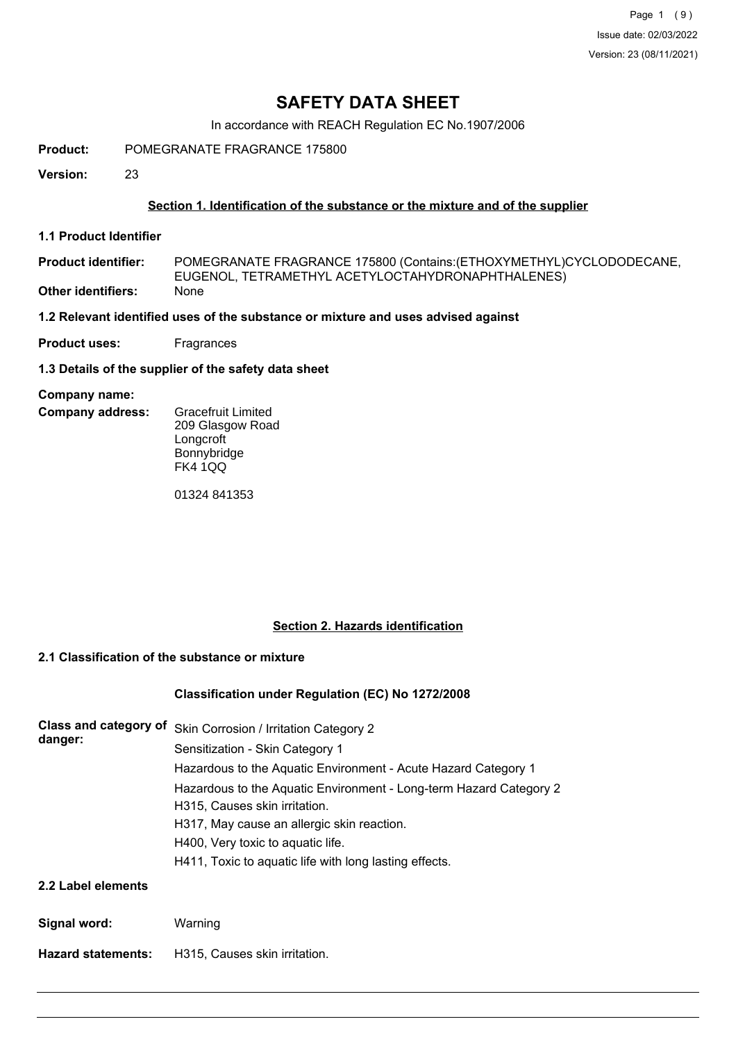Page 1 (9) Issue date: 02/03/2022 Version: 23 (08/11/2021)

## **SAFETY DATA SHEET**

In accordance with REACH Regulation EC No.1907/2006

**Product:** POMEGRANATE FRAGRANCE 175800

**Version:** 23

### **Section 1. Identification of the substance or the mixture and of the supplier**

**1.1 Product Identifier**

POMEGRANATE FRAGRANCE 175800 (Contains:(ETHOXYMETHYL)CYCLODODECANE, EUGENOL, TETRAMETHYL ACETYLOCTAHYDRONAPHTHALENES) **Product identifier: Other identifiers:** None

**1.2 Relevant identified uses of the substance or mixture and uses advised against**

**Product uses:** Fragrances

**1.3 Details of the supplier of the safety data sheet**

#### **Company name:**

- **Company address:**
- Gracefruit Limited 209 Glasgow Road **Longcroft** Bonnybridge FK4 1QQ

01324 841353

### **Section 2. Hazards identification**

#### **2.1 Classification of the substance or mixture**

#### **Classification under Regulation (EC) No 1272/2008**

| <b>Class and category of</b><br>danger: | Skin Corrosion / Irritation Category 2                                                              |
|-----------------------------------------|-----------------------------------------------------------------------------------------------------|
|                                         | Sensitization - Skin Category 1                                                                     |
|                                         | Hazardous to the Aquatic Environment - Acute Hazard Category 1                                      |
|                                         | Hazardous to the Aquatic Environment - Long-term Hazard Category 2<br>H315, Causes skin irritation. |
|                                         | H317, May cause an allergic skin reaction.                                                          |
|                                         | H400, Very toxic to aquatic life.                                                                   |
|                                         | H411, Toxic to aquatic life with long lasting effects.                                              |
| 2.2 Label elements                      |                                                                                                     |

| Signal word: | Warning |
|--------------|---------|
|              |         |

**Hazard statements:** H315, Causes skin irritation.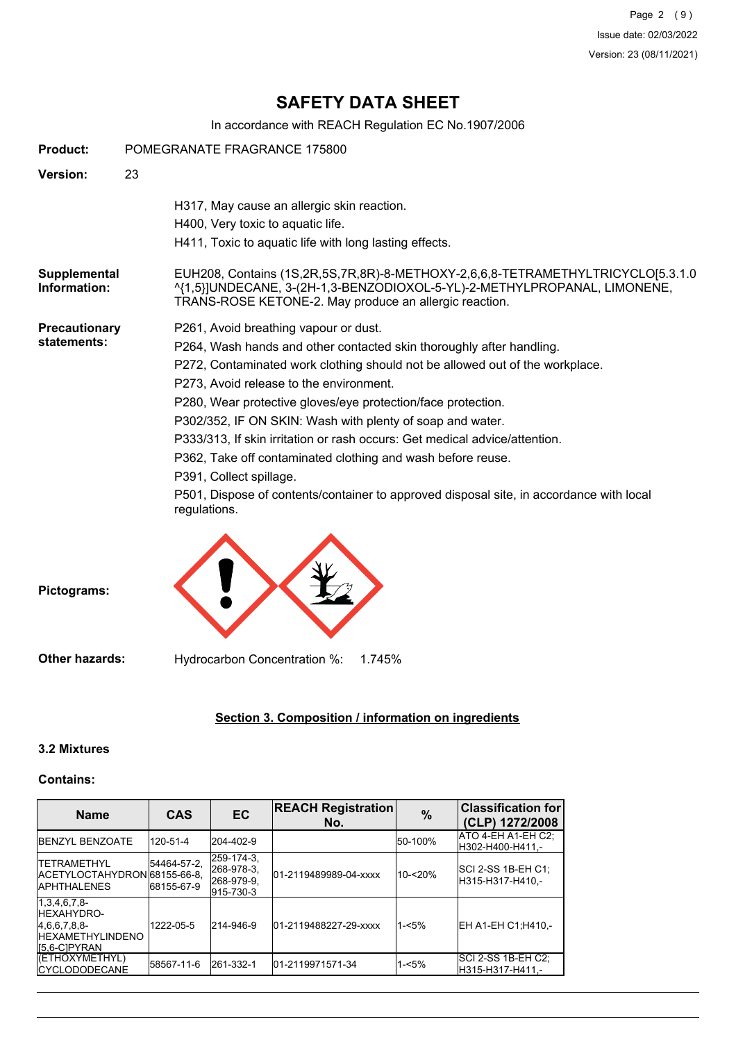Page 2 (9) Issue date: 02/03/2022 Version: 23 (08/11/2021)

# **SAFETY DATA SHEET**

In accordance with REACH Regulation EC No.1907/2006

| <b>Product:</b>                     | POMEGRANATE FRAGRANCE 175800                                                                                                                                                                                                                                                                                                                                                                                                                                                                                                                                                                                                                             |  |  |
|-------------------------------------|----------------------------------------------------------------------------------------------------------------------------------------------------------------------------------------------------------------------------------------------------------------------------------------------------------------------------------------------------------------------------------------------------------------------------------------------------------------------------------------------------------------------------------------------------------------------------------------------------------------------------------------------------------|--|--|
| Version:                            | 23                                                                                                                                                                                                                                                                                                                                                                                                                                                                                                                                                                                                                                                       |  |  |
|                                     | H317, May cause an allergic skin reaction.<br>H400, Very toxic to aquatic life.<br>H411, Toxic to aquatic life with long lasting effects.                                                                                                                                                                                                                                                                                                                                                                                                                                                                                                                |  |  |
| Supplemental<br>Information:        | EUH208, Contains (1S,2R,5S,7R,8R)-8-METHOXY-2,6,6,8-TETRAMETHYLTRICYCLO[5.3.1.0<br>^{1,5}]UNDECANE, 3-(2H-1,3-BENZODIOXOL-5-YL)-2-METHYLPROPANAL, LIMONENE,<br>TRANS-ROSE KETONE-2. May produce an allergic reaction.                                                                                                                                                                                                                                                                                                                                                                                                                                    |  |  |
| <b>Precautionary</b><br>statements: | P261, Avoid breathing vapour or dust.<br>P264, Wash hands and other contacted skin thoroughly after handling.<br>P272, Contaminated work clothing should not be allowed out of the workplace.<br>P273, Avoid release to the environment.<br>P280, Wear protective gloves/eye protection/face protection.<br>P302/352, IF ON SKIN: Wash with plenty of soap and water.<br>P333/313, If skin irritation or rash occurs: Get medical advice/attention.<br>P362, Take off contaminated clothing and wash before reuse.<br>P391, Collect spillage.<br>P501, Dispose of contents/container to approved disposal site, in accordance with local<br>regulations. |  |  |
| Pictograms:                         |                                                                                                                                                                                                                                                                                                                                                                                                                                                                                                                                                                                                                                                          |  |  |
| <b>Other hazards:</b>               | Hydrocarbon Concentration %:<br>1.745%                                                                                                                                                                                                                                                                                                                                                                                                                                                                                                                                                                                                                   |  |  |

### **Section 3. Composition / information on ingredients**

#### **3.2 Mixtures**

#### **Contains:**

| <b>Name</b>                                                                                   | <b>CAS</b>                | <b>EC</b>                                           | <b>REACH Registration</b><br>No. | $\frac{0}{0}$ | <b>Classification for</b><br>(CLP) 1272/2008 |
|-----------------------------------------------------------------------------------------------|---------------------------|-----------------------------------------------------|----------------------------------|---------------|----------------------------------------------|
| <b>IBENZYL BENZOATE</b>                                                                       | 120-51-4                  | 204-402-9                                           |                                  | 50-100%       | IATO 4-EH A1-EH C2:<br>H302-H400-H411.-      |
| <b>ITETRAMETHYL</b><br>IACETYLOCTAHYDRON 68155-66-8.<br><b>IAPHTHALENES</b>                   | 54464-57-2.<br>68155-67-9 | 259-174-3.<br>268-978-3.<br>268-979-9.<br>915-730-3 | 01-2119489989-04-xxxx            | 10-<20%       | ISCI 2-SS 1B-EH C1:<br>H315-H317-H410.-      |
| 1,3,4,6,7,8<br><b>IHEXAHYDRO-</b><br>4.6.6.7.8.8-<br><b>IHEXAMETHYLINDENO</b><br>IS.6-CIPYRAN | 1222-05-5                 | 214-946-9                                           | 01-2119488227-29-xxxx            | $1 - 5%$      | EH A1-EH C1:H410.-                           |
| (ETHOXYMETHYL)<br><b>ICYCLODODECANE</b>                                                       | 58567-11-6                | 261-332-1                                           | 01-2119971571-34                 | $1 - 5%$      | SCI 2-SS 1B-EH C2;<br>H315-H317-H411.-       |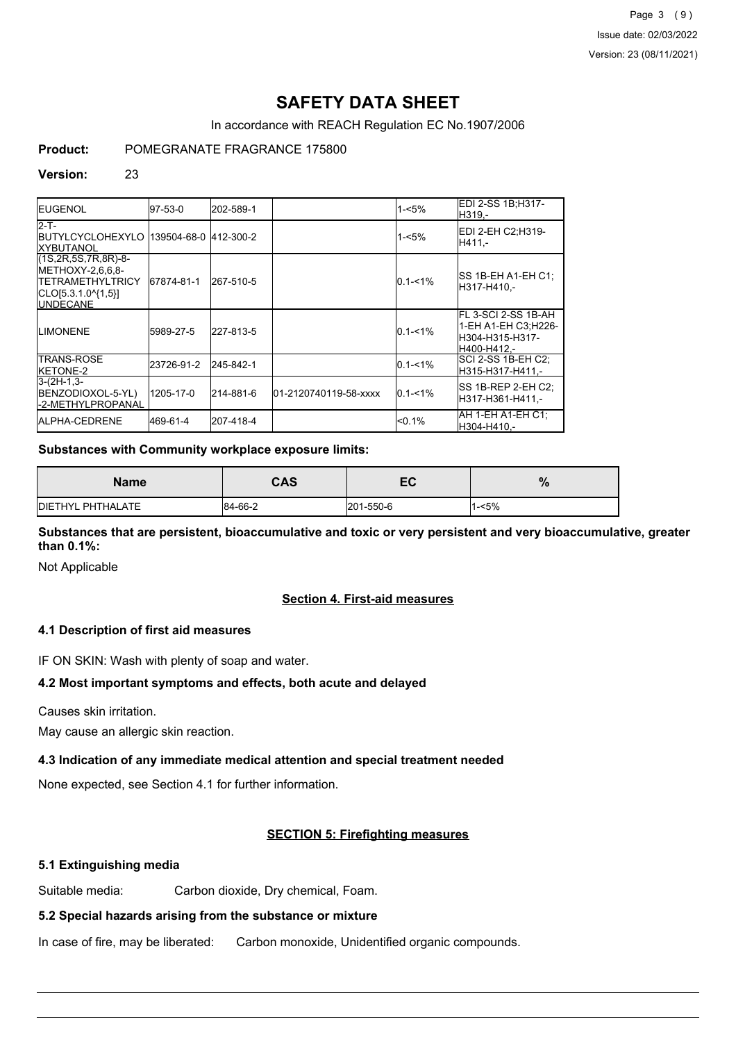Page 3 (9) Issue date: 02/03/2022 Version: 23 (08/11/2021)

# **SAFETY DATA SHEET**

In accordance with REACH Regulation EC No.1907/2006

## **Product:** POMEGRANATE FRAGRANCE 175800

#### **Version:** 23

| <b>IEUGENOL</b>                                                                                                                     | 97-53-0    | 202-589-1 |                       | $1 - 5%$    | EDI 2-SS 1B:H317-<br>IH319.-                                                  |
|-------------------------------------------------------------------------------------------------------------------------------------|------------|-----------|-----------------------|-------------|-------------------------------------------------------------------------------|
| $2-T$ -<br><b>IBUTYLCYCLOHEXYLO 139504-68-0 412-300-2</b><br><b>IXYBUTANOL</b>                                                      |            |           |                       | $1 - 5%$    | EDI 2-EH C2:H319-<br>H411.-                                                   |
| $(1S, 2R, 5S, 7R, 8R) - 8 -$<br><b>IMETHOXY-2.6.6.8-</b><br><b>ITETRAMETHYLTRICY</b><br>$ CLO[5.3.1.0^{4}1,5] $<br><b>IUNDECANE</b> | 67874-81-1 | 267-510-5 |                       | $0.1 - 1\%$ | ISS 1B-EH A1-EH C1:<br>lH317-H410.-                                           |
| <b>ILIMONENE</b>                                                                                                                    | 5989-27-5  | 227-813-5 |                       | $0.1 - 1\%$ | FL 3-SCI 2-SS 1B-AH<br>1-EH A1-EH C3:H226-<br>lH304-H315-H317-<br>H400-H412.- |
| <b>ITRANS-ROSE</b><br><b>IKETONE-2</b>                                                                                              | 23726-91-2 | 245-842-1 |                       | $0.1 - 1%$  | SCI 2-SS 1B-EH C2:<br>H315-H317-H411.-                                        |
| $3-(2H-1,3-$<br>BENZODIOXOL-5-YL)<br><b>I</b> -2-METHYLPROPANAL                                                                     | 1205-17-0  | 214-881-6 | 01-2120740119-58-xxxx | $0.1 - 1\%$ | ISS 1B-REP 2-EH C2:<br>lH317-H361-H411.-                                      |
| <b>IALPHA-CEDRENE</b>                                                                                                               | 469-61-4   | 207-418-4 |                       | < 0.1%      | IAH 1-EH A1-EH C1:<br>lH304-H410.-                                            |

#### **Substances with Community workplace exposure limits:**

| Name              | CAS     | EC        | $\mathbf{a}$<br>70 |
|-------------------|---------|-----------|--------------------|
| DIETHYL PHTHALATE | 84-66-2 | 201-550-6 | 1-<5%              |

**Substances that are persistent, bioaccumulative and toxic or very persistent and very bioaccumulative, greater than 0.1%:**

Not Applicable

#### **Section 4. First-aid measures**

#### **4.1 Description of first aid measures**

IF ON SKIN: Wash with plenty of soap and water.

#### **4.2 Most important symptoms and effects, both acute and delayed**

Causes skin irritation.

May cause an allergic skin reaction.

#### **4.3 Indication of any immediate medical attention and special treatment needed**

None expected, see Section 4.1 for further information.

#### **SECTION 5: Firefighting measures**

#### **5.1 Extinguishing media**

Suitable media: Carbon dioxide, Dry chemical, Foam.

#### **5.2 Special hazards arising from the substance or mixture**

In case of fire, may be liberated: Carbon monoxide, Unidentified organic compounds.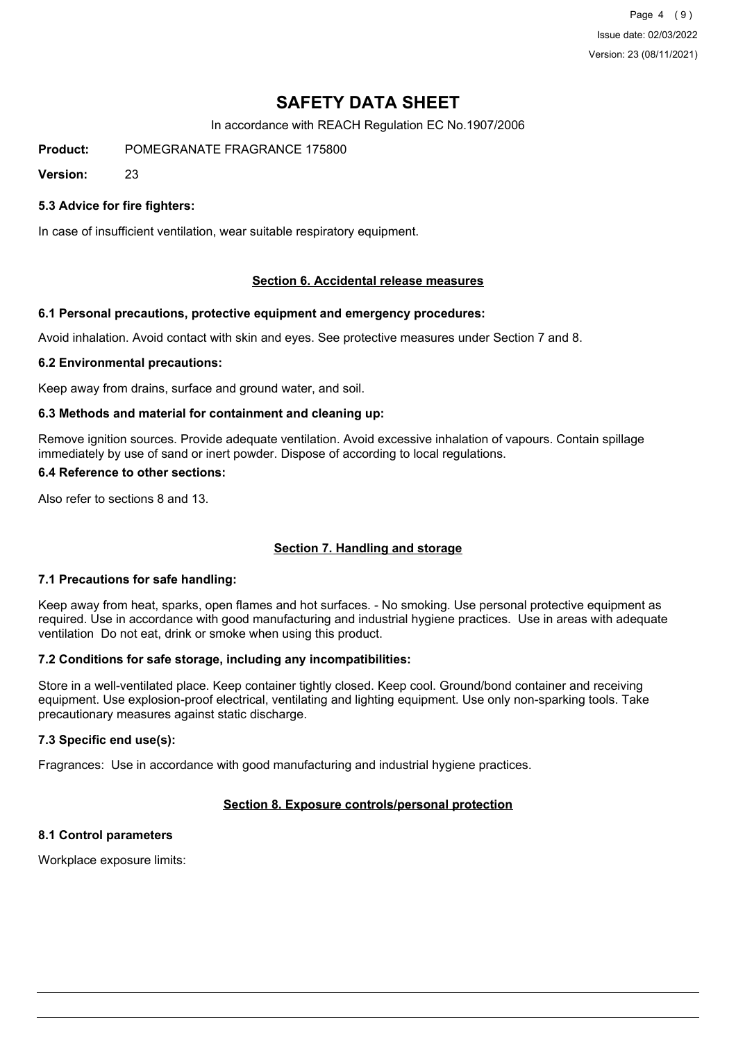Page 4 (9) Issue date: 02/03/2022 Version: 23 (08/11/2021)

# **SAFETY DATA SHEET**

In accordance with REACH Regulation EC No.1907/2006

**Product:** POMEGRANATE FRAGRANCE 175800

**Version:** 23

### **5.3 Advice for fire fighters:**

In case of insufficient ventilation, wear suitable respiratory equipment.

#### **Section 6. Accidental release measures**

#### **6.1 Personal precautions, protective equipment and emergency procedures:**

Avoid inhalation. Avoid contact with skin and eyes. See protective measures under Section 7 and 8.

#### **6.2 Environmental precautions:**

Keep away from drains, surface and ground water, and soil.

#### **6.3 Methods and material for containment and cleaning up:**

Remove ignition sources. Provide adequate ventilation. Avoid excessive inhalation of vapours. Contain spillage immediately by use of sand or inert powder. Dispose of according to local regulations.

#### **6.4 Reference to other sections:**

Also refer to sections 8 and 13.

#### **Section 7. Handling and storage**

#### **7.1 Precautions for safe handling:**

Keep away from heat, sparks, open flames and hot surfaces. - No smoking. Use personal protective equipment as required. Use in accordance with good manufacturing and industrial hygiene practices. Use in areas with adequate ventilation Do not eat, drink or smoke when using this product.

#### **7.2 Conditions for safe storage, including any incompatibilities:**

Store in a well-ventilated place. Keep container tightly closed. Keep cool. Ground/bond container and receiving equipment. Use explosion-proof electrical, ventilating and lighting equipment. Use only non-sparking tools. Take precautionary measures against static discharge.

#### **7.3 Specific end use(s):**

Fragrances: Use in accordance with good manufacturing and industrial hygiene practices.

## **Section 8. Exposure controls/personal protection**

## **8.1 Control parameters**

Workplace exposure limits: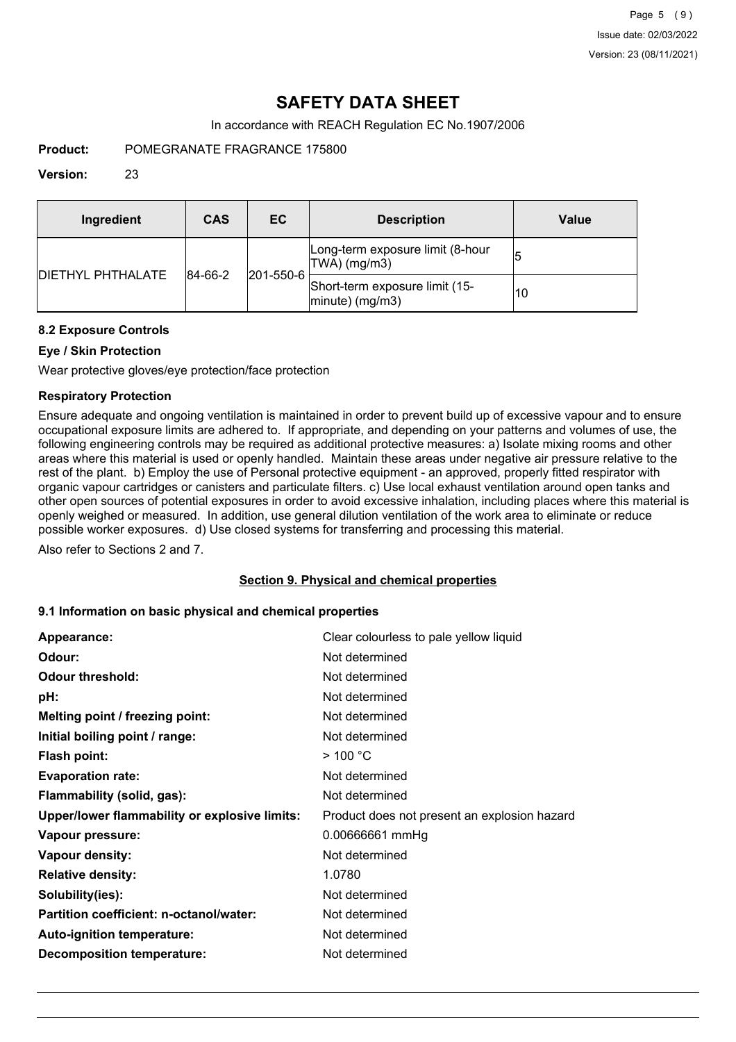# **SAFETY DATA SHEET**

In accordance with REACH Regulation EC No.1907/2006

**Product:** POMEGRANATE FRAGRANCE 175800

#### **Version:** 23

| Ingredient                | <b>CAS</b>  | ЕC        | <b>Description</b>                                   | <b>Value</b> |
|---------------------------|-------------|-----------|------------------------------------------------------|--------------|
| <b>IDIETHYL PHTHALATE</b> | $ 84-66-2 $ | 201-550-6 | Long-term exposure limit (8-hour<br> TWA  (mg/m3)    | 15           |
|                           |             |           | Short-term exposure limit (15-<br>$ minute)$ (mg/m3) | 10           |

### **8.2 Exposure Controls**

## **Eye / Skin Protection**

Wear protective gloves/eye protection/face protection

### **Respiratory Protection**

Ensure adequate and ongoing ventilation is maintained in order to prevent build up of excessive vapour and to ensure occupational exposure limits are adhered to. If appropriate, and depending on your patterns and volumes of use, the following engineering controls may be required as additional protective measures: a) Isolate mixing rooms and other areas where this material is used or openly handled. Maintain these areas under negative air pressure relative to the rest of the plant. b) Employ the use of Personal protective equipment - an approved, properly fitted respirator with organic vapour cartridges or canisters and particulate filters. c) Use local exhaust ventilation around open tanks and other open sources of potential exposures in order to avoid excessive inhalation, including places where this material is openly weighed or measured. In addition, use general dilution ventilation of the work area to eliminate or reduce possible worker exposures. d) Use closed systems for transferring and processing this material.

Also refer to Sections 2 and 7.

#### **Section 9. Physical and chemical properties**

#### **9.1 Information on basic physical and chemical properties**

| Appearance:                                   | Clear colourless to pale yellow liquid       |
|-----------------------------------------------|----------------------------------------------|
| Odour:                                        | Not determined                               |
| <b>Odour threshold:</b>                       | Not determined                               |
| pH:                                           | Not determined                               |
| Melting point / freezing point:               | Not determined                               |
| Initial boiling point / range:                | Not determined                               |
| Flash point:                                  | $>$ 100 °C                                   |
| <b>Evaporation rate:</b>                      | Not determined                               |
| Flammability (solid, gas):                    | Not determined                               |
| Upper/lower flammability or explosive limits: | Product does not present an explosion hazard |
| Vapour pressure:                              | 0.00666661 mmHg                              |
| Vapour density:                               | Not determined                               |
| <b>Relative density:</b>                      | 1.0780                                       |
| Solubility(ies):                              | Not determined                               |
| Partition coefficient: n-octanol/water:       | Not determined                               |
| Auto-ignition temperature:                    | Not determined                               |
| <b>Decomposition temperature:</b>             | Not determined                               |
|                                               |                                              |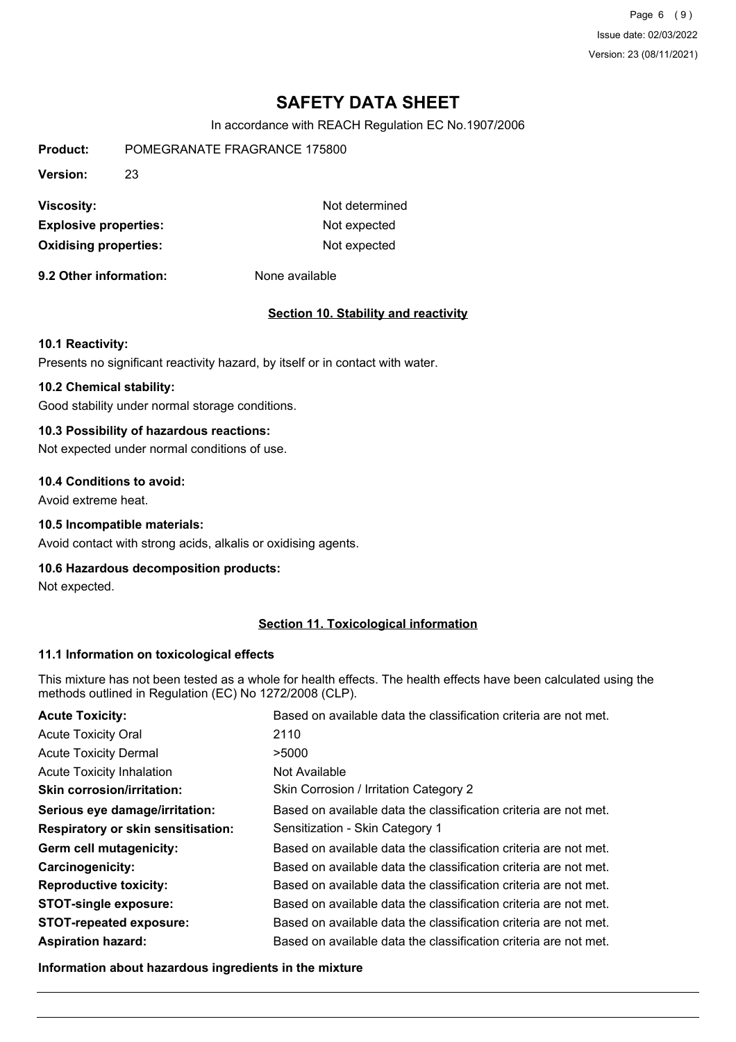Page 6 (9) Issue date: 02/03/2022 Version: 23 (08/11/2021)

# **SAFETY DATA SHEET**

In accordance with REACH Regulation EC No.1907/2006

| <b>Product:</b>              | POMEGRANATE FRAGRANCE 175800 |                |  |  |
|------------------------------|------------------------------|----------------|--|--|
| <b>Version:</b><br>23        |                              |                |  |  |
| Viscosity:                   |                              | Not determined |  |  |
| <b>Explosive properties:</b> |                              | Not expected   |  |  |
| <b>Oxidising properties:</b> |                              | Not expected   |  |  |

**9.2 Other information:** None available

#### **Section 10. Stability and reactivity**

#### **10.1 Reactivity:**

Presents no significant reactivity hazard, by itself or in contact with water.

### **10.2 Chemical stability:**

Good stability under normal storage conditions.

## **10.3 Possibility of hazardous reactions:**

Not expected under normal conditions of use.

#### **10.4 Conditions to avoid:**

Avoid extreme heat.

#### **10.5 Incompatible materials:**

Avoid contact with strong acids, alkalis or oxidising agents.

#### **10.6 Hazardous decomposition products:**

Not expected.

### **Section 11. Toxicological information**

#### **11.1 Information on toxicological effects**

This mixture has not been tested as a whole for health effects. The health effects have been calculated using the methods outlined in Regulation (EC) No 1272/2008 (CLP).

| <b>Acute Toxicity:</b>                    | Based on available data the classification criteria are not met. |
|-------------------------------------------|------------------------------------------------------------------|
| <b>Acute Toxicity Oral</b>                | 2110                                                             |
| <b>Acute Toxicity Dermal</b>              | >5000                                                            |
| <b>Acute Toxicity Inhalation</b>          | Not Available                                                    |
| <b>Skin corrosion/irritation:</b>         | Skin Corrosion / Irritation Category 2                           |
| Serious eye damage/irritation:            | Based on available data the classification criteria are not met. |
| <b>Respiratory or skin sensitisation:</b> | Sensitization - Skin Category 1                                  |
| Germ cell mutagenicity:                   | Based on available data the classification criteria are not met. |
| <b>Carcinogenicity:</b>                   | Based on available data the classification criteria are not met. |
| <b>Reproductive toxicity:</b>             | Based on available data the classification criteria are not met. |
| <b>STOT-single exposure:</b>              | Based on available data the classification criteria are not met. |
| <b>STOT-repeated exposure:</b>            | Based on available data the classification criteria are not met. |
| <b>Aspiration hazard:</b>                 | Based on available data the classification criteria are not met. |

**Information about hazardous ingredients in the mixture**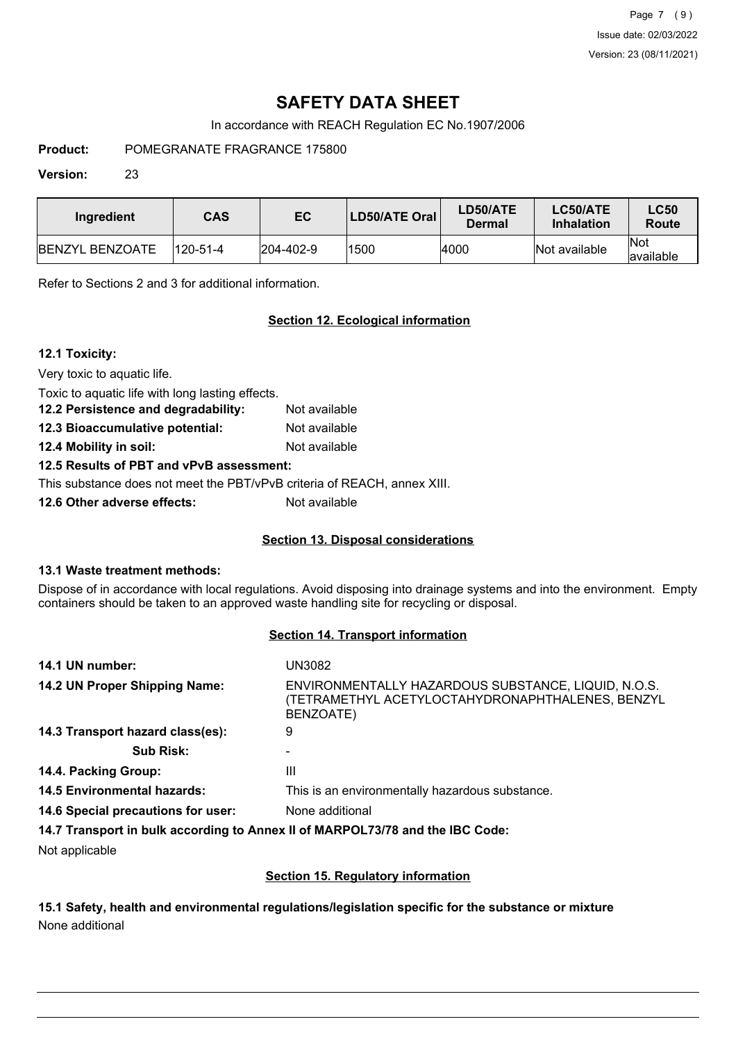Page 7 (9) Issue date: 02/03/2022 Version: 23 (08/11/2021)

## **SAFETY DATA SHEET**

In accordance with REACH Regulation EC No.1907/2006

**Product:** POMEGRANATE FRAGRANCE 175800

#### **Version:** 23

| Ingredient             | <b>CAS</b> | EC                | LD50/ATE Oral | LD50/ATE<br>Dermal | LC50/ATE<br><b>Inhalation</b> | <b>LC50</b><br>Route     |
|------------------------|------------|-------------------|---------------|--------------------|-------------------------------|--------------------------|
| <b>BENZYL BENZOATE</b> | 120-51-4   | $ 204 - 402 - 9 $ | 1500          | 4000               | Not available                 | <b>Not</b><br>lavailable |

Refer to Sections 2 and 3 for additional information.

### **Section 12. Ecological information**

### **12.1 Toxicity:**

Very toxic to aquatic life.

Toxic to aquatic life with long lasting effects.

**12.2 Persistence and degradability:** Not available **12.3 Bioaccumulative potential:** Not available

**12.4 Mobility in soil:** Not available

**12.5 Results of PBT and vPvB assessment:**

This substance does not meet the PBT/vPvB criteria of REACH, annex XIII.

**12.6 Other adverse effects:** Not available

## **Section 13. Disposal considerations**

#### **13.1 Waste treatment methods:**

Dispose of in accordance with local regulations. Avoid disposing into drainage systems and into the environment. Empty containers should be taken to an approved waste handling site for recycling or disposal.

#### **Section 14. Transport information**

| 14.1 UN number:                    | UN3082                                                                                                               |
|------------------------------------|----------------------------------------------------------------------------------------------------------------------|
| 14.2 UN Proper Shipping Name:      | ENVIRONMENTALLY HAZARDOUS SUBSTANCE, LIQUID, N.O.S.<br>(TETRAMETHYL ACETYLOCTAHYDRONAPHTHALENES, BENZYL<br>BENZOATE) |
| 14.3 Transport hazard class(es):   | 9                                                                                                                    |
| <b>Sub Risk:</b>                   |                                                                                                                      |
| 14.4. Packing Group:               | Ш                                                                                                                    |
| <b>14.5 Environmental hazards:</b> | This is an environmentally hazardous substance.                                                                      |
| 14.6 Special precautions for user: | None additional                                                                                                      |
|                                    | 14.7 Transport in bulk according to Annex II of MARPOL73/78 and the IBC Code:                                        |

Not applicable

## **Section 15. Regulatory information**

### **15.1 Safety, health and environmental regulations/legislation specific for the substance or mixture** None additional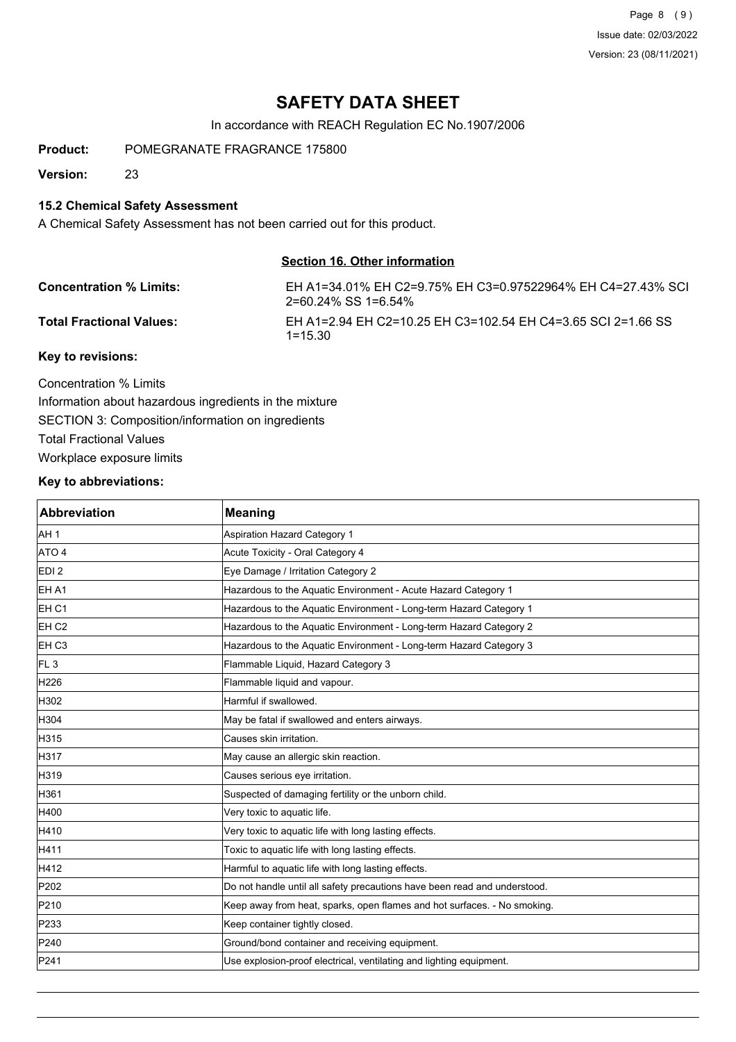Page 8 (9) Issue date: 02/03/2022 Version: 23 (08/11/2021)

## **SAFETY DATA SHEET**

In accordance with REACH Regulation EC No.1907/2006

**Product:** POMEGRANATE FRAGRANCE 175800

**Version:** 23

### **15.2 Chemical Safety Assessment**

A Chemical Safety Assessment has not been carried out for this product.

#### **Section 16. Other information**

| <b>Concentration % Limits:</b>  | EH A1=34.01% EH C2=9.75% EH C3=0.97522964% EH C4=27.43% SCI<br>2=60.24% SS 1=6.54% |
|---------------------------------|------------------------------------------------------------------------------------|
| <b>Total Fractional Values:</b> | EH A1=2.94 EH C2=10.25 EH C3=102.54 EH C4=3.65 SCI 2=1.66 SS<br>$1 = 15.30$        |
| Key to revisions:               |                                                                                    |

Concentration % Limits Information about hazardous ingredients in the mixture SECTION 3: Composition/information on ingredients Total Fractional Values Workplace exposure limits

### **Key to abbreviations:**

| Abbreviation     | <b>Meaning</b>                                                            |
|------------------|---------------------------------------------------------------------------|
| AH <sub>1</sub>  | <b>Aspiration Hazard Category 1</b>                                       |
| ATO 4            | Acute Toxicity - Oral Category 4                                          |
| EDI <sub>2</sub> | Eye Damage / Irritation Category 2                                        |
| EH A1            | Hazardous to the Aquatic Environment - Acute Hazard Category 1            |
| EH <sub>C1</sub> | Hazardous to the Aquatic Environment - Long-term Hazard Category 1        |
| EH <sub>C2</sub> | Hazardous to the Aquatic Environment - Long-term Hazard Category 2        |
| EH <sub>C3</sub> | Hazardous to the Aquatic Environment - Long-term Hazard Category 3        |
| FL <sub>3</sub>  | Flammable Liquid, Hazard Category 3                                       |
| H226             | Flammable liquid and vapour.                                              |
| H302             | Harmful if swallowed.                                                     |
| H304             | May be fatal if swallowed and enters airways.                             |
| H315             | Causes skin irritation.                                                   |
| H317             | May cause an allergic skin reaction.                                      |
| H319             | Causes serious eye irritation.                                            |
| H361             | Suspected of damaging fertility or the unborn child.                      |
| H400             | Very toxic to aquatic life.                                               |
| H410             | Very toxic to aquatic life with long lasting effects.                     |
| H411             | Toxic to aquatic life with long lasting effects.                          |
| H412             | Harmful to aquatic life with long lasting effects.                        |
| P202             | Do not handle until all safety precautions have been read and understood. |
| P210             | Keep away from heat, sparks, open flames and hot surfaces. - No smoking.  |
| P233             | Keep container tightly closed.                                            |
| P240             | Ground/bond container and receiving equipment.                            |
| P241             | Use explosion-proof electrical, ventilating and lighting equipment.       |